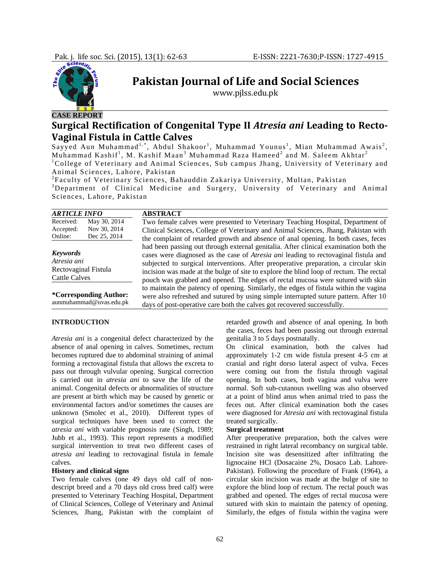

# **CASE REPORT**

**Pakistan Journal of Life and Social Sciences**

www.pjlss.edu.pk

# **Surgical Rectification of Congenital Type II** *Atresia ani* **Leading to Recto-Vaginal Fistula in Cattle Calves**

Sayyed Aun Muhammad<sup>1,\*</sup>, Abdul Shakoor<sup>1</sup>, Muhammad Younus<sup>1</sup>, Mian Muhammad Awais<sup>2</sup>, Muhammad Kashif<sup>1</sup>, M. Kashif Maan<sup>3</sup> Muhammad Raza Hameed<sup>2</sup> and M. Saleem Akhtar<sup>2</sup> <sup>1</sup>College of Veterinary and Animal Sciences, Sub campus Jhang, University of Veterinary and Animal Sciences, Lahore, Pakistan

<sup>2</sup> Faculty of Veterinary Sciences, Bahauddin Zakariya University, Multan, Pakistan 3 Depertment of Clinical Medicine, and Surgery, University of Veterinary and <sup>3</sup>Department of Clinical Medicine and Surgery, University of Veterinary and Animal Sciences, Lahore, Pakistan

| <b>ARTICLE INFO</b>                                    | <b>ABSTRACT</b>                                                                                                                                                                                                                                                                                                                                                                                                                                                                                                                                                                                                                                                                                                     |
|--------------------------------------------------------|---------------------------------------------------------------------------------------------------------------------------------------------------------------------------------------------------------------------------------------------------------------------------------------------------------------------------------------------------------------------------------------------------------------------------------------------------------------------------------------------------------------------------------------------------------------------------------------------------------------------------------------------------------------------------------------------------------------------|
| Received:<br>May 30, 2014<br>Nov 30, 2014<br>Accepted: | Two female calves were presented to Veterinary Teaching Hospital, Department of<br>Clinical Sciences, College of Veterinary and Animal Sciences, Jhang, Pakistan with                                                                                                                                                                                                                                                                                                                                                                                                                                                                                                                                               |
| Online:<br>Dec 25, 2014                                | the complaint of retarded growth and absence of anal opening. In both cases, feces                                                                                                                                                                                                                                                                                                                                                                                                                                                                                                                                                                                                                                  |
| <b>Keywords</b><br>Atresia ani                         | had been passing out through external genitalia. After clinical examination both the<br>cases were diagnosed as the case of <i>Atresia ani</i> leading to rectovaginal fistula and<br>subjected to surgical interventions. After preoperative preparation, a circular skin<br>incision was made at the bulge of site to explore the blind loop of rectum. The rectal<br>pouch was grabbed and opened. The edges of rectal mucosa were sutured with skin<br>to maintain the patency of opening. Similarly, the edges of fistula within the vagina<br>were also refreshed and sutured by using simple interrupted suture pattern. After 10<br>days of post-operative care both the calves got recovered successfully. |
| Rectovaginal Fistula<br>Cattle Calves                  |                                                                                                                                                                                                                                                                                                                                                                                                                                                                                                                                                                                                                                                                                                                     |
| *Corresponding Author:<br>aunmuhammad@uvas.edu.pk      |                                                                                                                                                                                                                                                                                                                                                                                                                                                                                                                                                                                                                                                                                                                     |

### **INTRODUCTION**

*Atresia ani* is a congenital defect characterized by the absence of anal opening in calves. Sometimes, rectum becomes ruptured due to abdominal straining of animal forming a rectovaginal fistula that allows the excreta to pass out through vulvular opening. Surgical correction is carried out in *atresia ani* to save the life of the animal. Congenital defects or abnormalities of structure are present at birth which may be caused by genetic or environmental factors and/or sometimes the causes are unknown (Smolec et al., 2010). Different types of surgical techniques have been used to correct the *atresia ani* with variable prognosis rate (Singh, 1989; Jubb et al., 1993). This report represents a modified surgical intervention to treat two different cases of *atresia ani* leading to rectovaginal fistula in female calves.

#### **History and clinical signs**

Two female calves (one 49 days old calf of nondescript breed and a 70 days old cross bred calf) were presented to Veterinary Teaching Hospital, Department of Clinical Sciences, College of Veterinary and Animal Sciences, Jhang, Pakistan with the complaint of retarded growth and absence of anal opening. In both the cases, feces had been passing out through external genitalia 3 to 5 days postnatally.

On clinical examination, both the calves had approximately 1-2 cm wide fistula present 4-5 cm at cranial and right dorso lateral aspect of vulva. Feces were coming out from the fistula through vaginal opening. In both cases, both vagina and vulva were normal. Soft sub-cutanous swelling was also observed at a point of blind anus when animal tried to pass the feces out. After clinical examination both the cases were diagnosed for *Atresia ani* with rectovaginal fistula treated surgically.

### **Surgical treatment**

After preoperative preparation, both the calves were restrained in right lateral recombancy on surgical table. Incision site was desensitized after infiltrating the lignocaine HCl (Dosacaine 2%, Dosaco Lab. Lahore-Pakistan). Following the procedure of Frank (1964), a circular skin incision was made at the bulge of site to explore the blind loop of rectum. The rectal pouch was grabbed and opened. The edges of rectal mucosa were sutured with skin to maintain the patency of opening. Similarly, the edges of fistula within the vagina were